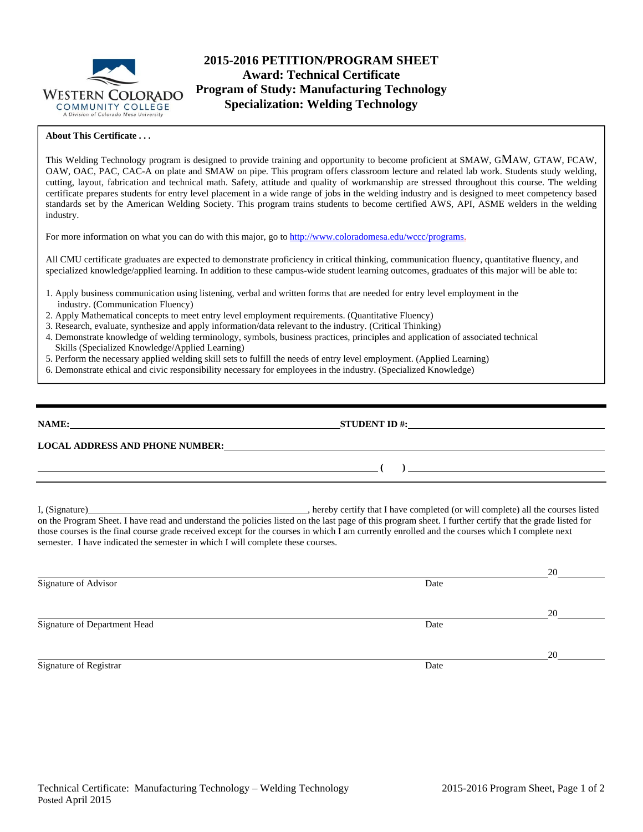

# **2015-2016 PETITION/PROGRAM SHEET Award: Technical Certificate Program of Study: Manufacturing Technology Specialization: Welding Technology**

### **About This Certificate . . .**

This Welding Technology program is designed to provide training and opportunity to become proficient at SMAW, GMAW, GTAW, FCAW, OAW, OAC, PAC, CAC-A on plate and SMAW on pipe. This program offers classroom lecture and related lab work. Students study welding, cutting, layout, fabrication and technical math. Safety, attitude and quality of workmanship are stressed throughout this course. The welding certificate prepares students for entry level placement in a wide range of jobs in the welding industry and is designed to meet competency based standards set by the American Welding Society. This program trains students to become certified AWS, API, ASME welders in the welding industry.

For more information on what you can do with this major, go to http://www.coloradomesa.edu/wccc/programs.

All CMU certificate graduates are expected to demonstrate proficiency in critical thinking, communication fluency, quantitative fluency, and specialized knowledge/applied learning. In addition to these campus-wide student learning outcomes, graduates of this major will be able to:

- 1. Apply business communication using listening, verbal and written forms that are needed for entry level employment in the industry. (Communication Fluency)
- 2. Apply Mathematical concepts to meet entry level employment requirements. (Quantitative Fluency)
- 3. Research, evaluate, synthesize and apply information/data relevant to the industry. (Critical Thinking)
- 4. Demonstrate knowledge of welding terminology, symbols, business practices, principles and application of associated technical Skills (Specialized Knowledge/Applied Learning)
- 5. Perform the necessary applied welding skill sets to fulfill the needs of entry level employment. (Applied Learning)
- 6. Demonstrate ethical and civic responsibility necessary for employees in the industry. (Specialized Knowledge)

| NAME:                                  | <b>STUDENT ID #:</b> |
|----------------------------------------|----------------------|
| <b>LOCAL ADDRESS AND PHONE NUMBER:</b> |                      |
|                                        |                      |
|                                        |                      |

I, (Signature) , hereby certify that I have completed (or will complete) all the courses listed on the Program Sheet. I have read and understand the policies listed on the last page of this program sheet. I further certify that the grade listed for those courses is the final course grade received except for the courses in which I am currently enrolled and the courses which I complete next semester. I have indicated the semester in which I will complete these courses.

|                              |      | 20 |
|------------------------------|------|----|
| Signature of Advisor         | Date |    |
|                              |      | 20 |
| Signature of Department Head | Date |    |
|                              |      | 20 |
| Signature of Registrar       | Date |    |